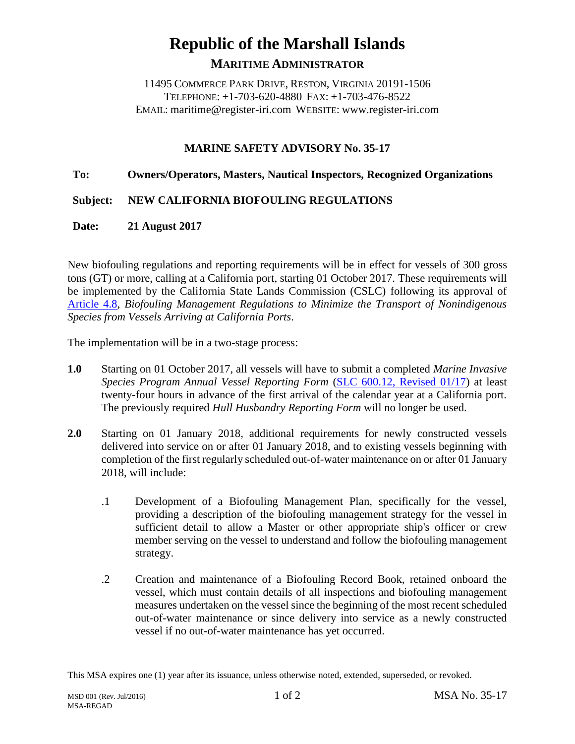# **Republic of the Marshall Islands MARITIME ADMINISTRATOR**

11495 COMMERCE PARK DRIVE, RESTON, VIRGINIA 20191-1506 TELEPHONE: +1-703-620-4880 FAX: +1-703-476-8522 EMAIL: maritime@register-iri.com WEBSITE: www.register-iri.com

## **MARINE SAFETY ADVISORY No. 35-17**

### **To: Owners/Operators, Masters, Nautical Inspectors, Recognized Organizations**

### **Subject: NEW CALIFORNIA BIOFOULING REGULATIONS**

### **Date: 21 August 2017**

New biofouling regulations and reporting requirements will be in effect for vessels of 300 gross tons (GT) or more, calling at a California port, starting 01 October 2017. These requirements will be implemented by the California State Lands Commission (CSLC) following its approval of [Article 4.8,](http://www.register-iri.com/forms/upload/Calif%20Biofoulding%20Regs.pdf) *Biofouling Management Regulations to Minimize the Transport of Nonindigenous Species from Vessels Arriving at California Ports*.

The implementation will be in a two-stage process:

- **1.0** Starting on 01 October 2017, all vessels will have to submit a completed *Marine Invasive Species Program Annual Vessel Reporting Form* [\(SLC 600.12, Revised 01/17\)](http://www.register-iri.com/forms/upload/Calif%20Biofouling%20Annual%20Report%20Form-Rev%2001-17.pdf) at least twenty-four hours in advance of the first arrival of the calendar year at a California port. The previously required *Hull Husbandry Reporting Form* will no longer be used.
- **2.0** Starting on 01 January 2018, additional requirements for newly constructed vessels delivered into service on or after 01 January 2018, and to existing vessels beginning with completion of the first regularly scheduled out-of-water maintenance on or after 01 January 2018, will include:
	- .1 Development of a Biofouling Management Plan, specifically for the vessel, providing a description of the biofouling management strategy for the vessel in sufficient detail to allow a Master or other appropriate ship's officer or crew member serving on the vessel to understand and follow the biofouling management strategy.
	- .2 Creation and maintenance of a Biofouling Record Book, retained onboard the vessel, which must contain details of all inspections and biofouling management measures undertaken on the vessel since the beginning of the most recent scheduled out-of-water maintenance or since delivery into service as a newly constructed vessel if no out-of-water maintenance has yet occurred.

This MSA expires one (1) year after its issuance, unless otherwise noted, extended, superseded, or revoked.